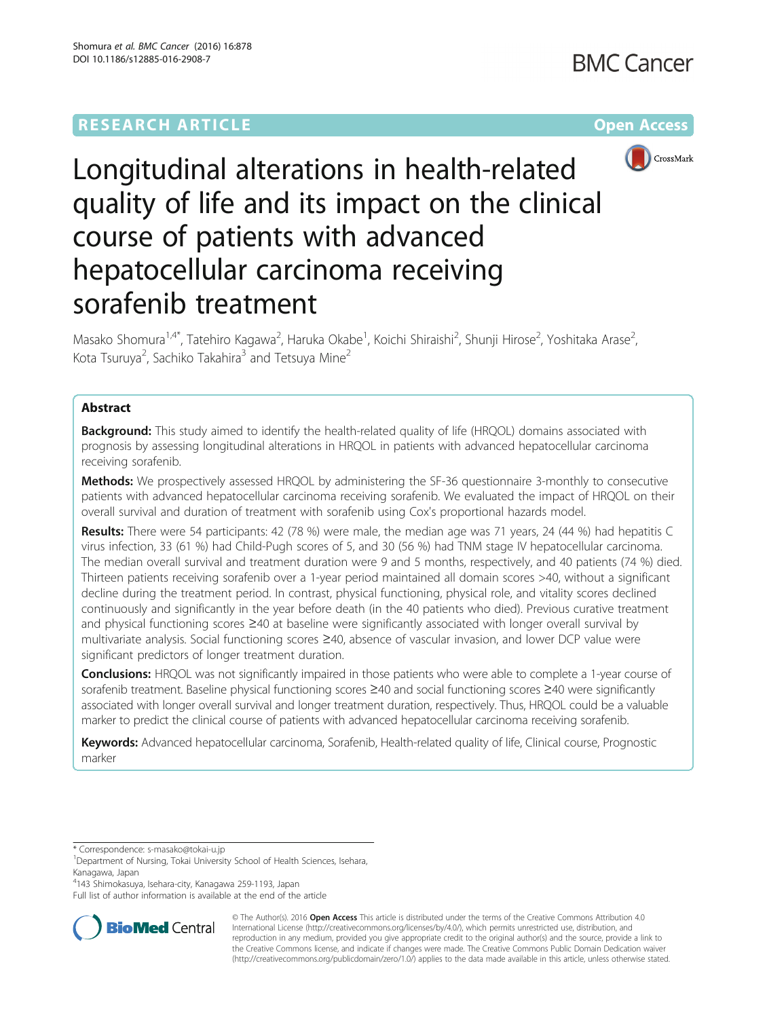

# Longitudinal alterations in health-related quality of life and its impact on the clinical course of patients with advanced hepatocellular carcinoma receiving sorafenib treatment

Masako Shomura<sup>1,4\*</sup>, Tatehiro Kagawa<sup>2</sup>, Haruka Okabe<sup>1</sup>, Koichi Shiraishi<sup>2</sup>, Shunji Hirose<sup>2</sup>, Yoshitaka Arase<sup>2</sup> , Kota Tsuruya<sup>2</sup>, Sachiko Takahira<sup>3</sup> and Tetsuya Mine<sup>2</sup>

# Abstract

**Background:** This study aimed to identify the health-related quality of life (HRQOL) domains associated with prognosis by assessing longitudinal alterations in HRQOL in patients with advanced hepatocellular carcinoma receiving sorafenib.

**Methods:** We prospectively assessed HRQOL by administering the SF-36 questionnaire 3-monthly to consecutive patients with advanced hepatocellular carcinoma receiving sorafenib. We evaluated the impact of HRQOL on their overall survival and duration of treatment with sorafenib using Cox's proportional hazards model.

Results: There were 54 participants: 42 (78 %) were male, the median age was 71 years, 24 (44 %) had hepatitis C virus infection, 33 (61 %) had Child-Pugh scores of 5, and 30 (56 %) had TNM stage IV hepatocellular carcinoma. The median overall survival and treatment duration were 9 and 5 months, respectively, and 40 patients (74 %) died. Thirteen patients receiving sorafenib over a 1-year period maintained all domain scores >40, without a significant decline during the treatment period. In contrast, physical functioning, physical role, and vitality scores declined continuously and significantly in the year before death (in the 40 patients who died). Previous curative treatment and physical functioning scores ≥40 at baseline were significantly associated with longer overall survival by multivariate analysis. Social functioning scores ≥40, absence of vascular invasion, and lower DCP value were significant predictors of longer treatment duration.

**Conclusions:** HRQOL was not significantly impaired in those patients who were able to complete a 1-year course of sorafenib treatment. Baseline physical functioning scores ≥40 and social functioning scores ≥40 were significantly associated with longer overall survival and longer treatment duration, respectively. Thus, HRQOL could be a valuable marker to predict the clinical course of patients with advanced hepatocellular carcinoma receiving sorafenib.

Keywords: Advanced hepatocellular carcinoma, Sorafenib, Health-related quality of life, Clinical course, Prognostic marker

\* Correspondence: [s-masako@tokai-u.jp](mailto:s-masako@tokai-u.jp) <sup>1</sup>

4 143 Shimokasuya, Isehara-city, Kanagawa 259-1193, Japan

Full list of author information is available at the end of the article



© The Author(s). 2016 Open Access This article is distributed under the terms of the Creative Commons Attribution 4.0 International License [\(http://creativecommons.org/licenses/by/4.0/](http://creativecommons.org/licenses/by/4.0/)), which permits unrestricted use, distribution, and reproduction in any medium, provided you give appropriate credit to the original author(s) and the source, provide a link to the Creative Commons license, and indicate if changes were made. The Creative Commons Public Domain Dedication waiver [\(http://creativecommons.org/publicdomain/zero/1.0/](http://creativecommons.org/publicdomain/zero/1.0/)) applies to the data made available in this article, unless otherwise stated.

<sup>&</sup>lt;sup>1</sup>Department of Nursing, Tokai University School of Health Sciences, Isehara, Kanagawa, Japan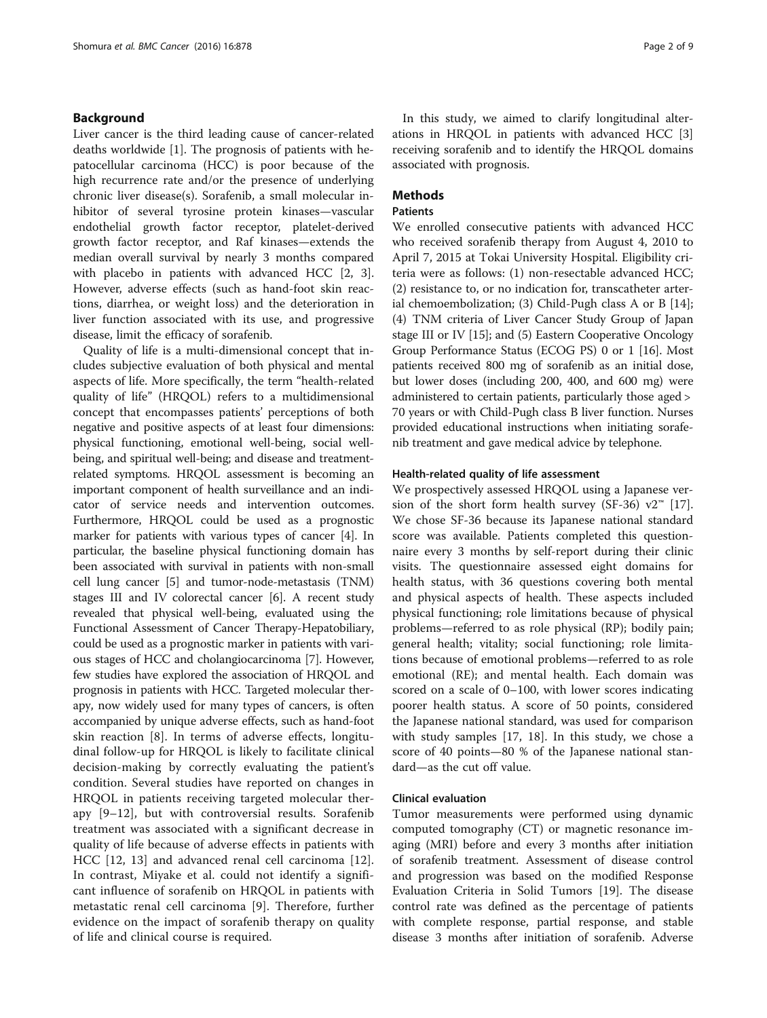# Background

Liver cancer is the third leading cause of cancer-related deaths worldwide [[1\]](#page-7-0). The prognosis of patients with hepatocellular carcinoma (HCC) is poor because of the high recurrence rate and/or the presence of underlying chronic liver disease(s). Sorafenib, a small molecular inhibitor of several tyrosine protein kinases—vascular endothelial growth factor receptor, platelet-derived growth factor receptor, and Raf kinases—extends the median overall survival by nearly 3 months compared with placebo in patients with advanced HCC [\[2](#page-7-0), [3](#page-7-0)]. However, adverse effects (such as hand-foot skin reactions, diarrhea, or weight loss) and the deterioration in liver function associated with its use, and progressive disease, limit the efficacy of sorafenib.

Quality of life is a multi-dimensional concept that includes subjective evaluation of both physical and mental aspects of life. More specifically, the term "health-related quality of life" (HRQOL) refers to a multidimensional concept that encompasses patients' perceptions of both negative and positive aspects of at least four dimensions: physical functioning, emotional well-being, social wellbeing, and spiritual well-being; and disease and treatmentrelated symptoms. HRQOL assessment is becoming an important component of health surveillance and an indicator of service needs and intervention outcomes. Furthermore, HRQOL could be used as a prognostic marker for patients with various types of cancer [[4](#page-7-0)]. In particular, the baseline physical functioning domain has been associated with survival in patients with non-small cell lung cancer [[5](#page-7-0)] and tumor-node-metastasis (TNM) stages III and IV colorectal cancer [\[6\]](#page-7-0). A recent study revealed that physical well-being, evaluated using the Functional Assessment of Cancer Therapy-Hepatobiliary, could be used as a prognostic marker in patients with various stages of HCC and cholangiocarcinoma [\[7\]](#page-7-0). However, few studies have explored the association of HRQOL and prognosis in patients with HCC. Targeted molecular therapy, now widely used for many types of cancers, is often accompanied by unique adverse effects, such as hand-foot skin reaction [[8\]](#page-7-0). In terms of adverse effects, longitudinal follow-up for HRQOL is likely to facilitate clinical decision-making by correctly evaluating the patient's condition. Several studies have reported on changes in HRQOL in patients receiving targeted molecular therapy [[9](#page-7-0)–[12](#page-8-0)], but with controversial results. Sorafenib treatment was associated with a significant decrease in quality of life because of adverse effects in patients with HCC [\[12](#page-8-0), [13\]](#page-8-0) and advanced renal cell carcinoma [\[12](#page-8-0)]. In contrast, Miyake et al. could not identify a significant influence of sorafenib on HRQOL in patients with metastatic renal cell carcinoma [[9\]](#page-7-0). Therefore, further evidence on the impact of sorafenib therapy on quality of life and clinical course is required.

In this study, we aimed to clarify longitudinal alterations in HRQOL in patients with advanced HCC [\[3](#page-7-0)] receiving sorafenib and to identify the HRQOL domains associated with prognosis.

# **Methods**

# Patients

We enrolled consecutive patients with advanced HCC who received sorafenib therapy from August 4, 2010 to April 7, 2015 at Tokai University Hospital. Eligibility criteria were as follows: (1) non-resectable advanced HCC; (2) resistance to, or no indication for, transcatheter arterial chemoembolization; (3) Child-Pugh class A or B [\[14](#page-8-0)]; (4) TNM criteria of Liver Cancer Study Group of Japan stage III or IV [\[15\]](#page-8-0); and (5) Eastern Cooperative Oncology Group Performance Status (ECOG PS) 0 or 1 [\[16\]](#page-8-0). Most patients received 800 mg of sorafenib as an initial dose, but lower doses (including 200, 400, and 600 mg) were administered to certain patients, particularly those aged > 70 years or with Child-Pugh class B liver function. Nurses provided educational instructions when initiating sorafenib treatment and gave medical advice by telephone.

# Health-related quality of life assessment

We prospectively assessed HRQOL using a Japanese ver-sion of the short form health survey (SF-36) v2<sup>™</sup> [\[17](#page-8-0)]. We chose SF-36 because its Japanese national standard score was available. Patients completed this questionnaire every 3 months by self-report during their clinic visits. The questionnaire assessed eight domains for health status, with 36 questions covering both mental and physical aspects of health. These aspects included physical functioning; role limitations because of physical problems—referred to as role physical (RP); bodily pain; general health; vitality; social functioning; role limitations because of emotional problems—referred to as role emotional (RE); and mental health. Each domain was scored on a scale of 0–100, with lower scores indicating poorer health status. A score of 50 points, considered the Japanese national standard, was used for comparison with study samples [[17](#page-8-0), [18\]](#page-8-0). In this study, we chose a score of 40 points—80 % of the Japanese national standard—as the cut off value.

# Clinical evaluation

Tumor measurements were performed using dynamic computed tomography (CT) or magnetic resonance imaging (MRI) before and every 3 months after initiation of sorafenib treatment. Assessment of disease control and progression was based on the modified Response Evaluation Criteria in Solid Tumors [\[19](#page-8-0)]. The disease control rate was defined as the percentage of patients with complete response, partial response, and stable disease 3 months after initiation of sorafenib. Adverse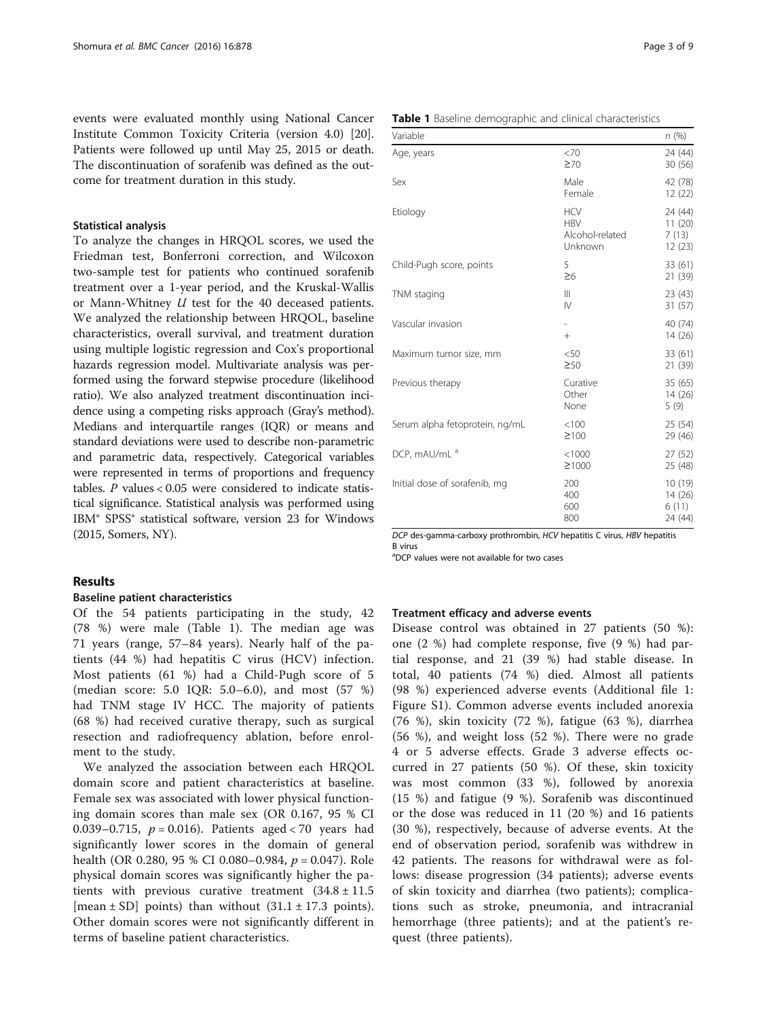events were evaluated monthly using National Cancer Institute Common Toxicity Criteria (version 4.0) [\[20](#page-8-0)]. Patients were followed up until May 25, 2015 or death. The discontinuation of sorafenib was defined as the outcome for treatment duration in this study.

## Statistical analysis

To analyze the changes in HRQOL scores, we used the Friedman test, Bonferroni correction, and Wilcoxon two-sample test for patients who continued sorafenib treatment over a 1-year period, and the Kruskal-Wallis or Mann-Whitney U test for the 40 deceased patients. We analyzed the relationship between HRQOL, baseline characteristics, overall survival, and treatment duration using multiple logistic regression and Cox's proportional hazards regression model. Multivariate analysis was performed using the forward stepwise procedure (likelihood ratio). We also analyzed treatment discontinuation incidence using a competing risks approach (Gray's method). Medians and interquartile ranges (IQR) or means and standard deviations were used to describe non-parametric and parametric data, respectively. Categorical variables were represented in terms of proportions and frequency tables.  $P$  values < 0.05 were considered to indicate statistical significance. Statistical analysis was performed using IBM® SPSS® statistical software, version 23 for Windows (2015, Somers, NY).

# Results

# Baseline patient characteristics

Of the 54 patients participating in the study, 42 (78 %) were male (Table 1). The median age was 71 years (range, 57–84 years). Nearly half of the patients (44 %) had hepatitis C virus (HCV) infection. Most patients (61 %) had a Child-Pugh score of 5 (median score: 5.0 IQR: 5.0–6.0), and most (57 %) had TNM stage IV HCC. The majority of patients (68 %) had received curative therapy, such as surgical resection and radiofrequency ablation, before enrolment to the study.

We analyzed the association between each HRQOL domain score and patient characteristics at baseline. Female sex was associated with lower physical functioning domain scores than male sex (OR 0.167, 95 % CI 0.039–0.715,  $p = 0.016$ ). Patients aged < 70 years had significantly lower scores in the domain of general health (OR 0.280, 95 % CI 0.080–0.984,  $p = 0.047$ ). Role physical domain scores was significantly higher the patients with previous curative treatment  $(34.8 \pm 11.5$ [mean  $\pm$  SD] points) than without  $(31.1 \pm 17.3 \text{ points}).$ Other domain scores were not significantly different in terms of baseline patient characteristics.

| Variable   | <b>Table 1</b> Baseline demographic and clinical characteristics | n(%)                         |
|------------|------------------------------------------------------------------|------------------------------|
| Age, years | ${<}70$<br>$\geq 70$                                             | 24 (44)<br>30(56)            |
| Sex        | Male<br>Female                                                   | 42 (78)<br>12 (22)           |
| Etiology   | <b>HCV</b><br><b>HBV</b><br>Alcohol-related                      | 24 (44)<br>11 (20)<br>7 (13) |

| Etiology                       | <b>HCV</b><br><b>HBV</b><br>Alcohol-related<br>Unknown | 24 (44)<br>11(20)<br>7(13)<br>12(23)  |
|--------------------------------|--------------------------------------------------------|---------------------------------------|
| Child-Pugh score, points       | 5<br>$\geq 6$                                          | 33(61)<br>21 (39)                     |
| TNM staging                    | Ш<br>IV                                                | 23 (43)<br>31 (57)                    |
| Vascular invasion              | $\overline{\phantom{a}}$<br>$^{+}$                     | 40 (74)<br>14 (26)                    |
| Maximum tumor size, mm         | $<$ 50<br>$\geq 50$                                    | 33 (61)<br>21 (39)                    |
| Previous therapy               | Curative<br>Other<br>None                              | 35(65)<br>14 (26)<br>5(9)             |
| Serum alpha fetoprotein, ng/mL | < 100<br>$\geq 100$                                    | 25(54)<br>29 (46)                     |
| DCP, mAU/mL <sup>a</sup>       | < 1000<br>≥1000                                        | 27 (52)<br>25 (48)                    |
| Initial dose of sorafenib, mg  | 200<br>400<br>600<br>800                               | 10(19)<br>14 (26)<br>6(11)<br>24 (44) |

DCP des-gamma-carboxy prothrombin, HCV hepatitis C virus, HBV hepatitis B virus

<sup>a</sup>DCP values were not available for two cases

## Treatment efficacy and adverse events

Disease control was obtained in 27 patients (50 %): one (2 %) had complete response, five (9 %) had partial response, and 21 (39 %) had stable disease. In total, 40 patients (74 %) died. Almost all patients (98 %) experienced adverse events (Additional file [1](#page-7-0): Figure S1). Common adverse events included anorexia (76 %), skin toxicity (72 %), fatigue (63 %), diarrhea (56 %), and weight loss (52 %). There were no grade 4 or 5 adverse effects. Grade 3 adverse effects occurred in 27 patients (50 %). Of these, skin toxicity was most common (33 %), followed by anorexia (15 %) and fatigue (9 %). Sorafenib was discontinued or the dose was reduced in 11 (20 %) and 16 patients (30 %), respectively, because of adverse events. At the end of observation period, sorafenib was withdrew in 42 patients. The reasons for withdrawal were as follows: disease progression (34 patients); adverse events of skin toxicity and diarrhea (two patients); complications such as stroke, pneumonia, and intracranial hemorrhage (three patients); and at the patient's request (three patients).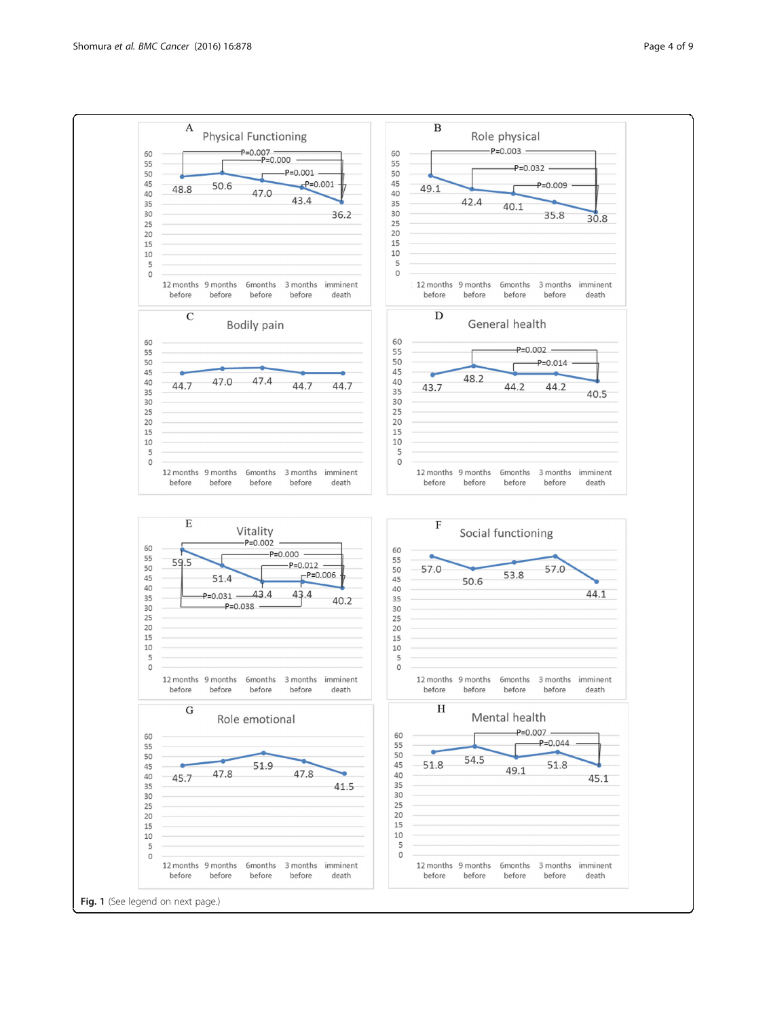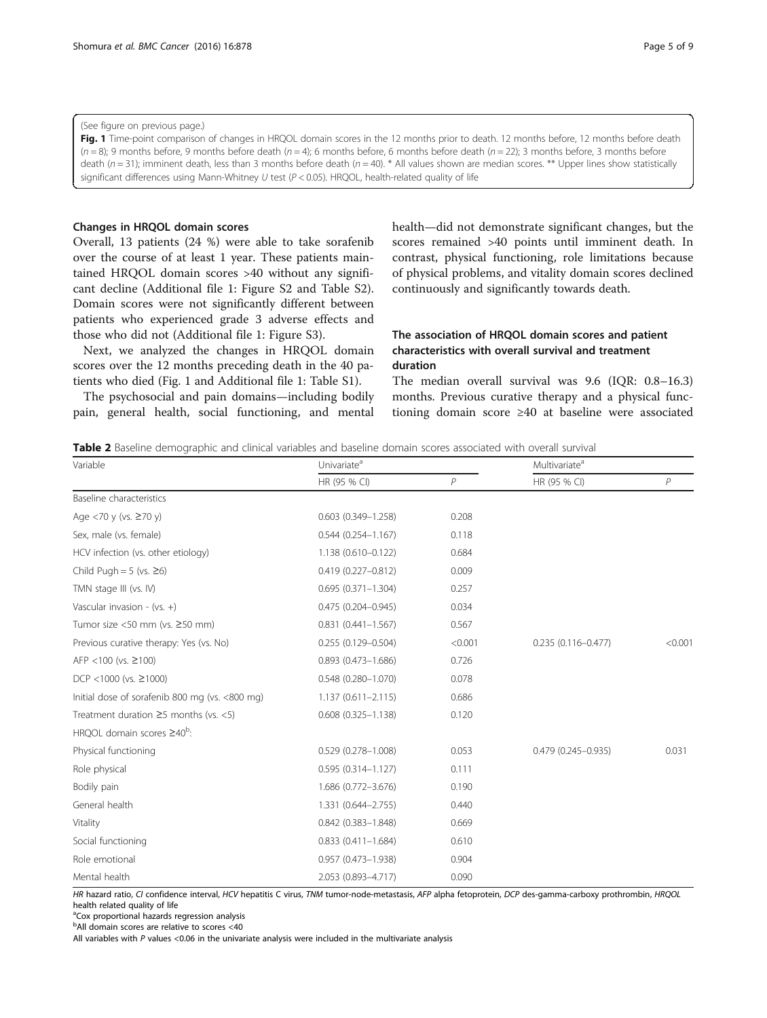# <span id="page-4-0"></span>(See figure on previous page.)

Fig. 1 Time-point comparison of changes in HRQOL domain scores in the 12 months prior to death. 12 months before, 12 months before death  $(n = 8)$ ; 9 months before, 9 months before death  $(n = 4)$ ; 6 months before, 6 months before death  $(n = 22)$ ; 3 months before, 3 months before death ( $n = 31$ ); imminent death, less than 3 months before death ( $n = 40$ ). \* All values shown are median scores. \*\* Upper lines show statistically significant differences using Mann-Whitney U test ( $P < 0.05$ ). HRQOL, health-related quality of life

# Changes in HRQOL domain scores

Overall, 13 patients (24 %) were able to take sorafenib over the course of at least 1 year. These patients maintained HRQOL domain scores >40 without any significant decline (Additional file [1:](#page-7-0) Figure S2 and Table S2). Domain scores were not significantly different between patients who experienced grade 3 adverse effects and those who did not (Additional file [1:](#page-7-0) Figure S3).

Next, we analyzed the changes in HRQOL domain scores over the 12 months preceding death in the 40 patients who died (Fig. 1 and Additional file [1:](#page-7-0) Table S1).

The psychosocial and pain domains—including bodily pain, general health, social functioning, and mental health—did not demonstrate significant changes, but the scores remained >40 points until imminent death. In contrast, physical functioning, role limitations because of physical problems, and vitality domain scores declined continuously and significantly towards death.

# The association of HRQOL domain scores and patient characteristics with overall survival and treatment duration

The median overall survival was 9.6 (IQR: 0.8–16.3) months. Previous curative therapy and a physical functioning domain score ≥40 at baseline were associated

Table 2 Baseline demographic and clinical variables and baseline domain scores associated with overall survival

| Variable                                       | Univariate <sup>a</sup> |                | Multivariate <sup>a</sup> |                |
|------------------------------------------------|-------------------------|----------------|---------------------------|----------------|
|                                                | HR (95 % CI)            | $\overline{P}$ | HR (95 % CI)              | $\overline{P}$ |
| Baseline characteristics                       |                         |                |                           |                |
| Age <70 y (vs. $\geq$ 70 y)                    | $0.603(0.349 - 1.258)$  | 0.208          |                           |                |
| Sex, male (vs. female)                         | $0.544(0.254 - 1.167)$  | 0.118          |                           |                |
| HCV infection (vs. other etiology)             | 1.138 (0.610-0.122)     | 0.684          |                           |                |
| Child Pugh = $5$ (vs. $\geq 6$ )               | $0.419(0.227 - 0.812)$  | 0.009          |                           |                |
| TMN stage III (vs. IV)                         | $0.695(0.371 - 1.304)$  | 0.257          |                           |                |
| Vascular invasion - (vs. +)                    | $0.475(0.204 - 0.945)$  | 0.034          |                           |                |
| Tumor size <50 mm (vs. ≥50 mm)                 | $0.831(0.441 - 1.567)$  | 0.567          |                           |                |
| Previous curative therapy: Yes (vs. No)        | $0.255(0.129 - 0.504)$  | < 0.001        | $0.235(0.116 - 0.477)$    | < 0.001        |
| AFP <100 (vs. $\geq$ 100)                      | $0.893$ (0.473-1.686)   | 0.726          |                           |                |
| DCP <1000 (vs. $\geq$ 1000)                    | $0.548(0.280 - 1.070)$  | 0.078          |                           |                |
| Initial dose of sorafenib 800 mg (vs. <800 mg) | $1.137(0.611 - 2.115)$  | 0.686          |                           |                |
| Treatment duration $\geq$ 5 months (vs. <5)    | $0.608(0.325 - 1.138)$  | 0.120          |                           |                |
| HROOL domain scores $\geq 40^b$ :              |                         |                |                           |                |
| Physical functioning                           | $0.529(0.278 - 1.008)$  | 0.053          | $0.479(0.245 - 0.935)$    | 0.031          |
| Role physical                                  | $0.595(0.314 - 1.127)$  | 0.111          |                           |                |
| Bodily pain                                    | 1.686 (0.772-3.676)     | 0.190          |                           |                |
| General health                                 | 1.331 (0.644-2.755)     | 0.440          |                           |                |
| Vitality                                       | $0.842$ (0.383-1.848)   | 0.669          |                           |                |
| Social functioning                             | $0.833(0.411 - 1.684)$  | 0.610          |                           |                |
| Role emotional                                 | $0.957$ (0.473-1.938)   | 0.904          |                           |                |
| Mental health                                  | 2.053 (0.893-4.717)     | 0.090          |                           |                |

HR hazard ratio, CI confidence interval, HCV hepatitis C virus, TNM tumor-node-metastasis, AFP alpha fetoprotein, DCP des-gamma-carboxy prothrombin, HRQOL health related quality of life

<sup>a</sup>Cox proportional hazards regression analysis

<sup>b</sup>All domain scores are relative to scores <40

All variables with P values <0.06 in the univariate analysis were included in the multivariate analysis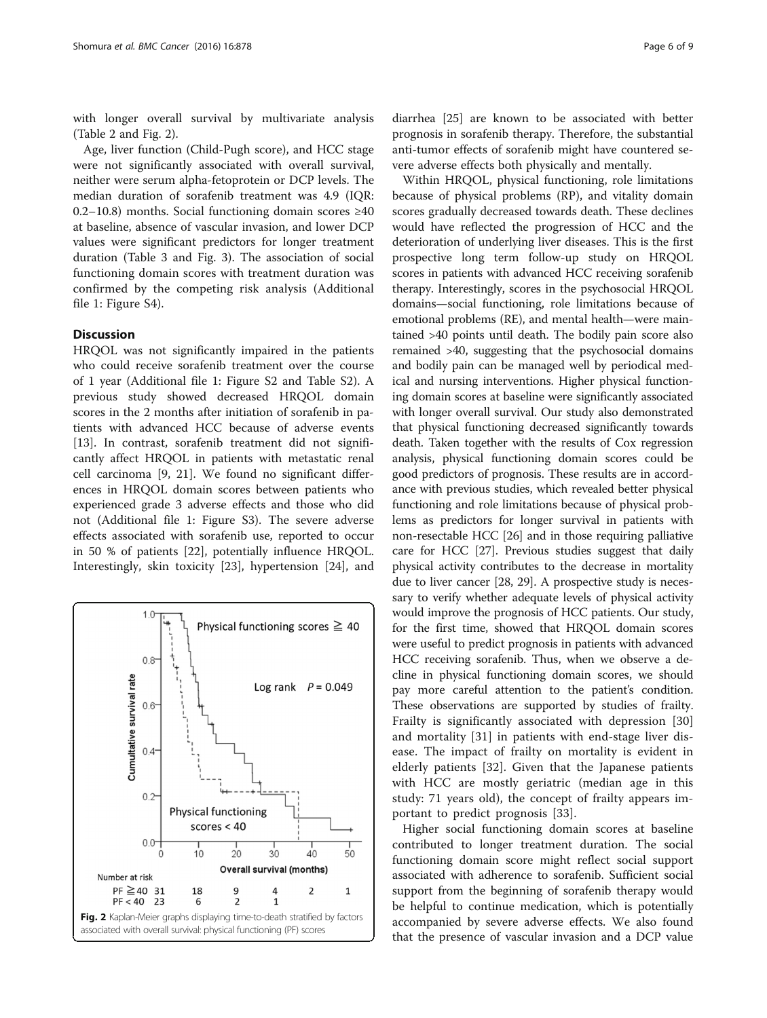with longer overall survival by multivariate analysis (Table [2](#page-4-0) and Fig. 2).

Age, liver function (Child-Pugh score), and HCC stage were not significantly associated with overall survival, neither were serum alpha-fetoprotein or DCP levels. The median duration of sorafenib treatment was 4.9 (IQR: 0.2–10.8) months. Social functioning domain scores ≥40 at baseline, absence of vascular invasion, and lower DCP values were significant predictors for longer treatment duration (Table [3](#page-6-0) and Fig. [3\)](#page-6-0). The association of social functioning domain scores with treatment duration was confirmed by the competing risk analysis (Additional file [1](#page-7-0): Figure S4).

# **Discussion**

HRQOL was not significantly impaired in the patients who could receive sorafenib treatment over the course of 1 year (Additional file [1:](#page-7-0) Figure S2 and Table S2). A previous study showed decreased HRQOL domain scores in the 2 months after initiation of sorafenib in patients with advanced HCC because of adverse events [[13\]](#page-8-0). In contrast, sorafenib treatment did not significantly affect HRQOL in patients with metastatic renal cell carcinoma [\[9](#page-7-0), [21\]](#page-8-0). We found no significant differences in HRQOL domain scores between patients who experienced grade 3 adverse effects and those who did not (Additional file [1:](#page-7-0) Figure S3). The severe adverse effects associated with sorafenib use, reported to occur in 50 % of patients [[22\]](#page-8-0), potentially influence HRQOL. Interestingly, skin toxicity [[23](#page-8-0)], hypertension [\[24](#page-8-0)], and



diarrhea [[25\]](#page-8-0) are known to be associated with better prognosis in sorafenib therapy. Therefore, the substantial anti-tumor effects of sorafenib might have countered severe adverse effects both physically and mentally.

Within HRQOL, physical functioning, role limitations because of physical problems (RP), and vitality domain scores gradually decreased towards death. These declines would have reflected the progression of HCC and the deterioration of underlying liver diseases. This is the first prospective long term follow-up study on HRQOL scores in patients with advanced HCC receiving sorafenib therapy. Interestingly, scores in the psychosocial HRQOL domains—social functioning, role limitations because of emotional problems (RE), and mental health—were maintained >40 points until death. The bodily pain score also remained >40, suggesting that the psychosocial domains and bodily pain can be managed well by periodical medical and nursing interventions. Higher physical functioning domain scores at baseline were significantly associated with longer overall survival. Our study also demonstrated that physical functioning decreased significantly towards death. Taken together with the results of Cox regression analysis, physical functioning domain scores could be good predictors of prognosis. These results are in accordance with previous studies, which revealed better physical functioning and role limitations because of physical problems as predictors for longer survival in patients with non-resectable HCC [[26](#page-8-0)] and in those requiring palliative care for HCC [\[27\]](#page-8-0). Previous studies suggest that daily physical activity contributes to the decrease in mortality due to liver cancer [\[28, 29](#page-8-0)]. A prospective study is necessary to verify whether adequate levels of physical activity would improve the prognosis of HCC patients. Our study, for the first time, showed that HRQOL domain scores were useful to predict prognosis in patients with advanced HCC receiving sorafenib. Thus, when we observe a decline in physical functioning domain scores, we should pay more careful attention to the patient's condition. These observations are supported by studies of frailty. Frailty is significantly associated with depression [\[30](#page-8-0)] and mortality [\[31](#page-8-0)] in patients with end-stage liver disease. The impact of frailty on mortality is evident in elderly patients [[32\]](#page-8-0). Given that the Japanese patients with HCC are mostly geriatric (median age in this study: 71 years old), the concept of frailty appears important to predict prognosis [\[33](#page-8-0)].

Higher social functioning domain scores at baseline contributed to longer treatment duration. The social functioning domain score might reflect social support associated with adherence to sorafenib. Sufficient social support from the beginning of sorafenib therapy would be helpful to continue medication, which is potentially accompanied by severe adverse effects. We also found that the presence of vascular invasion and a DCP value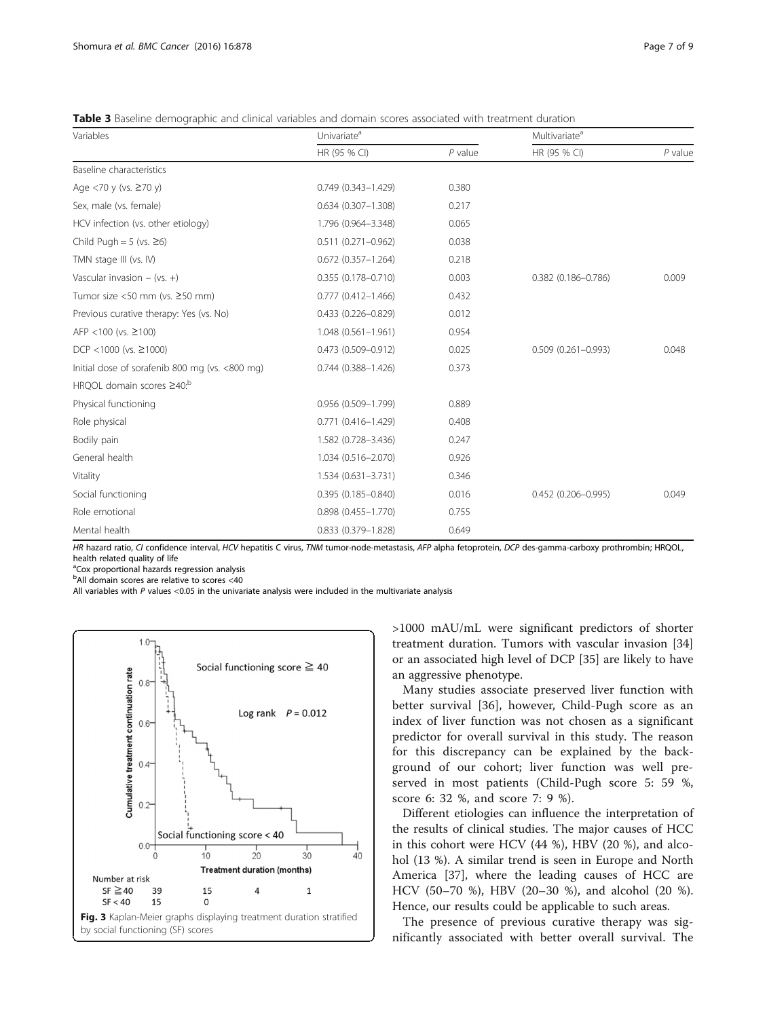<span id="page-6-0"></span>Table 3 Baseline demographic and clinical variables and domain scores associated with treatment duration

| Variables                                      | Univariate <sup>a</sup>   |           | Multivariate <sup>a</sup> |           |
|------------------------------------------------|---------------------------|-----------|---------------------------|-----------|
|                                                | HR (95 % CI)              | $P$ value | HR (95 % CI)              | $P$ value |
| Baseline characteristics                       |                           |           |                           |           |
| Age <70 y (vs. ≥70 y)                          | $0.749(0.343 - 1.429)$    | 0.380     |                           |           |
| Sex, male (vs. female)                         | $0.634$ (0.307-1.308)     | 0.217     |                           |           |
| HCV infection (vs. other etiology)             | 1.796 (0.964-3.348)       | 0.065     |                           |           |
| Child Pugh = $5$ (vs. $\geq 6$ )               | $0.511(0.271 - 0.962)$    | 0.038     |                           |           |
| TMN stage III (vs. IV)                         | $0.672$ (0.357-1.264)     | 0.218     |                           |           |
| Vascular invasion $-$ (vs. $+$ )               | $0.355(0.178 - 0.710)$    | 0.003     | $0.382$ (0.186-0.786)     | 0.009     |
| Tumor size <50 mm (vs. $\geq$ 50 mm)           | $0.777$ $(0.412 - 1.466)$ | 0.432     |                           |           |
| Previous curative therapy: Yes (vs. No)        | 0.433 (0.226-0.829)       | 0.012     |                           |           |
| AFP <100 (vs. $\geq$ 100)                      | $1.048(0.561 - 1.961)$    | 0.954     |                           |           |
| DCP <1000 (vs. $\geq$ 1000)                    | $0.473$ $(0.509 - 0.912)$ | 0.025     | $0.509$ $(0.261 - 0.993)$ | 0.048     |
| Initial dose of sorafenib 800 mg (vs. <800 mg) | $0.744$ $(0.388 - 1.426)$ | 0.373     |                           |           |
| HRQOL domain scores ≥40: <sup>b</sup>          |                           |           |                           |           |
| Physical functioning                           | 0.956 (0.509-1.799)       | 0.889     |                           |           |
| Role physical                                  | $0.771(0.416 - 1.429)$    | 0.408     |                           |           |
| Bodily pain                                    | 1.582 (0.728-3.436)       | 0.247     |                           |           |
| General health                                 | 1.034 (0.516-2.070)       | 0.926     |                           |           |
| Vitality                                       | 1.534 (0.631-3.731)       | 0.346     |                           |           |
| Social functioning                             | $0.395(0.185 - 0.840)$    | 0.016     | $0.452(0.206 - 0.995)$    | 0.049     |
| Role emotional                                 | $0.898$ $(0.455 - 1.770)$ | 0.755     |                           |           |
| Mental health                                  | 0.833 (0.379-1.828)       | 0.649     |                           |           |

HR hazard ratio, CI confidence interval, HCV hepatitis C virus, TNM tumor-node-metastasis, AFP alpha fetoprotein, DCP des-gamma-carboxy prothrombin; HRQOL, health related quality of life

<sup>a</sup>Cox proportional hazards regression analysis

<sup>b</sup>All domain scores are relative to scores <40

All variables with P values <0.05 in the univariate analysis were included in the multivariate analysis



>1000 mAU/mL were significant predictors of shorter treatment duration. Tumors with vascular invasion [[34](#page-8-0)] or an associated high level of DCP [[35\]](#page-8-0) are likely to have an aggressive phenotype.

Many studies associate preserved liver function with better survival [\[36](#page-8-0)], however, Child-Pugh score as an index of liver function was not chosen as a significant predictor for overall survival in this study. The reason for this discrepancy can be explained by the background of our cohort; liver function was well preserved in most patients (Child-Pugh score 5: 59 %, score 6: 32 %, and score 7: 9 %).

Different etiologies can influence the interpretation of the results of clinical studies. The major causes of HCC in this cohort were HCV (44 %), HBV (20 %), and alcohol (13 %). A similar trend is seen in Europe and North America [\[37](#page-8-0)], where the leading causes of HCC are HCV (50–70 %), HBV (20–30 %), and alcohol (20 %). Hence, our results could be applicable to such areas.

The presence of previous curative therapy was significantly associated with better overall survival. The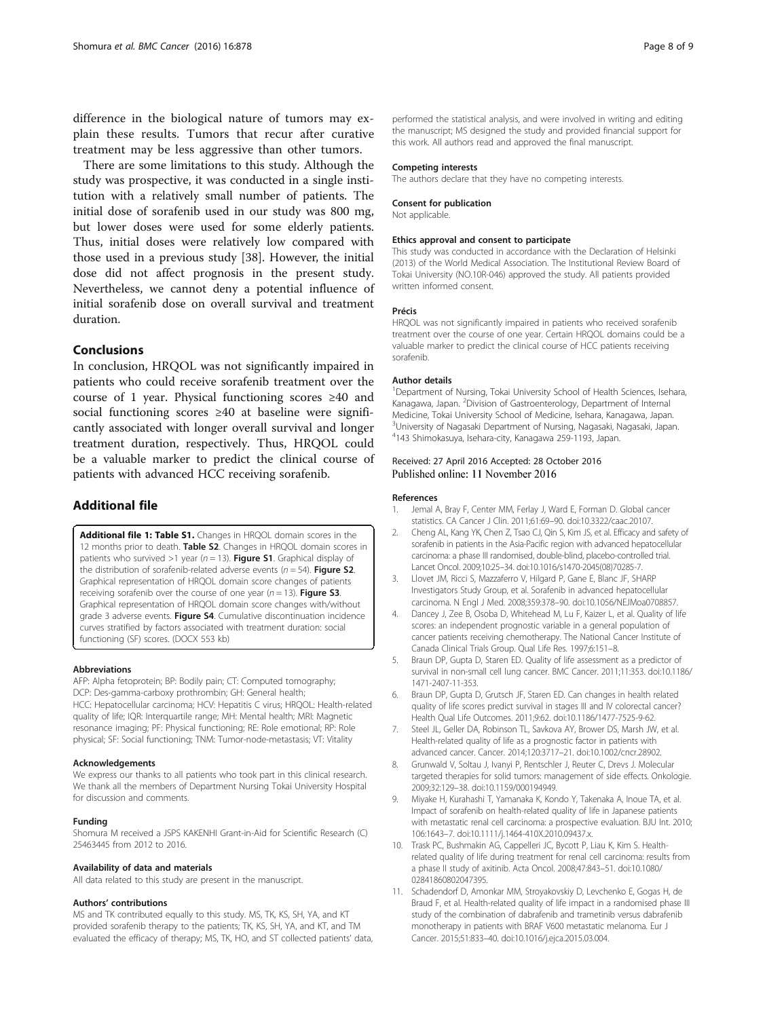<span id="page-7-0"></span>difference in the biological nature of tumors may explain these results. Tumors that recur after curative treatment may be less aggressive than other tumors.

There are some limitations to this study. Although the study was prospective, it was conducted in a single institution with a relatively small number of patients. The initial dose of sorafenib used in our study was 800 mg, but lower doses were used for some elderly patients. Thus, initial doses were relatively low compared with those used in a previous study [[38](#page-8-0)]. However, the initial dose did not affect prognosis in the present study. Nevertheless, we cannot deny a potential influence of initial sorafenib dose on overall survival and treatment duration.

# Conclusions

In conclusion, HRQOL was not significantly impaired in patients who could receive sorafenib treatment over the course of 1 year. Physical functioning scores ≥40 and social functioning scores ≥40 at baseline were significantly associated with longer overall survival and longer treatment duration, respectively. Thus, HRQOL could be a valuable marker to predict the clinical course of patients with advanced HCC receiving sorafenib.

# Additional file

[Additional file 1: Table S1.](dx.doi.org/10.1186/s12885-016-2908-7) Changes in HRQOL domain scores in the 12 months prior to death. Table S2. Changes in HRQOL domain scores in patients who survived >1 year ( $n = 13$ ). Figure S1. Graphical display of the distribution of sorafenib-related adverse events ( $n = 54$ ). Figure S2. Graphical representation of HRQOL domain score changes of patients receiving sorafenib over the course of one year ( $n = 13$ ). Figure S3. Graphical representation of HRQOL domain score changes with/without grade 3 adverse events. Figure S4. Cumulative discontinuation incidence curves stratified by factors associated with treatment duration: social functioning (SF) scores. (DOCX 553 kb)

# Abbreviations

AFP: Alpha fetoprotein; BP: Bodily pain; CT: Computed tomography; DCP: Des-gamma-carboxy prothrombin; GH: General health; HCC: Hepatocellular carcinoma; HCV: Hepatitis C virus; HRQOL: Health-related quality of life; IQR: Interquartile range; MH: Mental health; MRI: Magnetic resonance imaging; PF: Physical functioning; RE: Role emotional; RP: Role physical; SF: Social functioning; TNM: Tumor-node-metastasis; VT: Vitality

# Acknowledgements

We express our thanks to all patients who took part in this clinical research. We thank all the members of Department Nursing Tokai University Hospital for discussion and comments.

#### Funding

Shomura M received a JSPS KAKENHI Grant-in-Aid for Scientific Research (C) 25463445 from 2012 to 2016.

# Availability of data and materials

All data related to this study are present in the manuscript.

#### Authors' contributions

MS and TK contributed equally to this study. MS, TK, KS, SH, YA, and KT provided sorafenib therapy to the patients; TK, KS, SH, YA, and KT, and TM evaluated the efficacy of therapy; MS, TK, HO, and ST collected patients' data, performed the statistical analysis, and were involved in writing and editing the manuscript; MS designed the study and provided financial support for this work. All authors read and approved the final manuscript.

#### Competing interests

The authors declare that they have no competing interests.

#### Consent for publication

Not applicable.

#### Ethics approval and consent to participate

This study was conducted in accordance with the Declaration of Helsinki (2013) of the World Medical Association. The Institutional Review Board of Tokai University (NO.10R-046) approved the study. All patients provided written informed consent.

#### Précis

HRQOL was not significantly impaired in patients who received sorafenib treatment over the course of one year. Certain HRQOL domains could be a valuable marker to predict the clinical course of HCC patients receiving sorafenib.

#### Author details

<sup>1</sup>Department of Nursing, Tokai University School of Health Sciences, Isehara, Kanagawa, Japan. <sup>2</sup> Division of Gastroenterology, Department of Internal Medicine, Tokai University School of Medicine, Isehara, Kanagawa, Japan. <sup>3</sup>University of Nagasaki Department of Nursing, Nagasaki, Nagasaki, Japan. 4 143 Shimokasuya, Isehara-city, Kanagawa 259-1193, Japan.

# Received: 27 April 2016 Accepted: 28 October 2016 Published online: 11 November 2016

#### References

- 1. Jemal A, Bray F, Center MM, Ferlay J, Ward E, Forman D. Global cancer statistics. CA Cancer J Clin. 2011;61:69–90. doi:[10.3322/caac.20107.](http://dx.doi.org/10.3322/caac.20107)
- 2. Cheng AL, Kang YK, Chen Z, Tsao CJ, Qin S, Kim JS, et al. Efficacy and safety of sorafenib in patients in the Asia-Pacific region with advanced hepatocellular carcinoma: a phase III randomised, double-blind, placebo-controlled trial. Lancet Oncol. 2009;10:25–34. doi[:10.1016/s1470-2045\(08\)70285-7.](http://dx.doi.org/10.1016/s1470-2045(08)70285-7)
- 3. Llovet JM, Ricci S, Mazzaferro V, Hilgard P, Gane E, Blanc JF, SHARP Investigators Study Group, et al. Sorafenib in advanced hepatocellular carcinoma. N Engl J Med. 2008;359:378–90. doi:[10.1056/NEJMoa0708857.](http://dx.doi.org/10.1056/NEJMoa0708857)
- 4. Dancey J, Zee B, Osoba D, Whitehead M, Lu F, Kaizer L, et al. Quality of life scores: an independent prognostic variable in a general population of cancer patients receiving chemotherapy. The National Cancer Institute of Canada Clinical Trials Group. Qual Life Res. 1997;6:151–8.
- 5. Braun DP, Gupta D, Staren ED. Quality of life assessment as a predictor of survival in non-small cell lung cancer. BMC Cancer. 2011;11:353. doi:[10.1186/](http://dx.doi.org/10.1186/1471-2407-11-353) [1471-2407-11-353](http://dx.doi.org/10.1186/1471-2407-11-353).
- 6. Braun DP, Gupta D, Grutsch JF, Staren ED. Can changes in health related quality of life scores predict survival in stages III and IV colorectal cancer? Health Qual Life Outcomes. 2011;9:62. doi[:10.1186/1477-7525-9-62](http://dx.doi.org/10.1186/1477-7525-9-62).
- 7. Steel JL, Geller DA, Robinson TL, Savkova AY, Brower DS, Marsh JW, et al. Health-related quality of life as a prognostic factor in patients with advanced cancer. Cancer. 2014;120:3717–21. doi[:10.1002/cncr.28902.](http://dx.doi.org/10.1002/cncr.28902)
- Grunwald V, Soltau J, Ivanyi P, Rentschler J, Reuter C, Drevs J. Molecular targeted therapies for solid tumors: management of side effects. Onkologie. 2009;32:129–38. doi:[10.1159/000194949.](http://dx.doi.org/10.1159/000194949)
- 9. Miyake H, Kurahashi T, Yamanaka K, Kondo Y, Takenaka A, Inoue TA, et al. Impact of sorafenib on health-related quality of life in Japanese patients with metastatic renal cell carcinoma: a prospective evaluation. BJU Int. 2010; 106:1643–7. doi[:10.1111/j.1464-410X.2010.09437.x](http://dx.doi.org/10.1111/j.1464-410X.2010.09437.x).
- 10. Trask PC, Bushmakin AG, Cappelleri JC, Bycott P, Liau K, Kim S. Healthrelated quality of life during treatment for renal cell carcinoma: results from a phase II study of axitinib. Acta Oncol. 2008;47:843–51. doi[:10.1080/](http://dx.doi.org/10.1080/02841860802047395) [02841860802047395.](http://dx.doi.org/10.1080/02841860802047395)
- 11. Schadendorf D, Amonkar MM, Stroyakovskiy D, Levchenko E, Gogas H, de Braud F, et al. Health-related quality of life impact in a randomised phase III study of the combination of dabrafenib and trametinib versus dabrafenib monotherapy in patients with BRAF V600 metastatic melanoma. Eur J Cancer. 2015;51:833–40. doi:[10.1016/j.ejca.2015.03.004.](http://dx.doi.org/10.1016/j.ejca.2015.03.004)